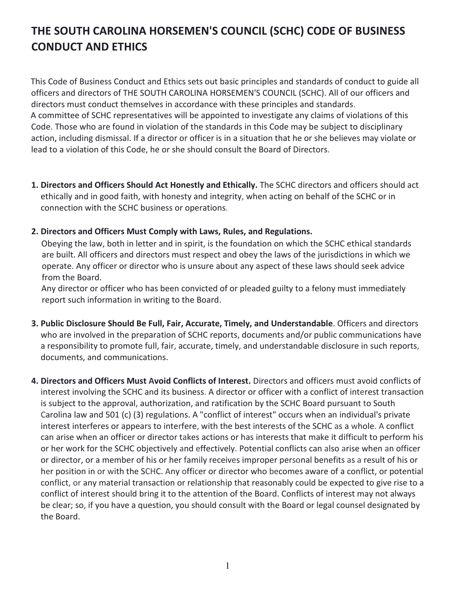## **THE SOUTH CAROLINA HORSEMEN'S COUNCIL (SCHC) CODE OF BUSINESS CONDUCT AND ETHICS**

This Code of Business Conduct and Ethics sets out basic principles and standards of conduct to guide all officers and directors of THE SOUTH CAROLINA HORSEMEN'S COUNCIL (SCHC). All of our officers and directors must conduct themselves in accordance with these principles and standards. A committee of SCHC representatives will be appointed to investigate any claims of violations of this Code. Those who are found in violation of the standards in this Code may be subject to disciplinary action, including dismissal. If a director or officer is in a situation that he or she believes may violate or lead to a violation of this Code, he or she should consult the Board of Directors.

- **1. Directors and Officers Should Act Honestly and Ethically.** The SCHC directors and officers should act ethically and in good faith, with honesty and integrity, when acting on behalf of the SCHC or in connection with the SCHC business or operations.
- **2. Directors and Officers Must Comply with Laws, Rules, and Regulations.**

Obeying the law, both in letter and in spirit, is the foundation on which the SCHC ethical standards are built. All officers and directors must respect and obey the laws of the jurisdictions in which we operate. Any officer or director who is unsure about any aspect of these laws should seek advice from the Board.

Any director or officer who has been convicted of or pleaded guilty to a felony must immediately report such information in writing to the Board.

- **3. Public Disclosure Should Be Full, Fair, Accurate, Timely, and Understandable**. Officers and directors who are involved in the preparation of SCHC reports, documents and/or public communications have a responsibility to promote full, fair, accurate, timely, and understandable disclosure in such reports, documents, and communications.
- **4. Directors and Officers Must Avoid Conflicts of Interest.** Directors and officers must avoid conflicts of interest involving the SCHC and its business. A director or officer with a conflict of interest transaction is subject to the approval, authorization, and ratification by the SCHC Board pursuant to South Carolina law and 501 (c) (3) regulations. A "conflict of interest" occurs when an individual's private interest interferes or appears to interfere, with the best interests of the SCHC as a whole. A conflict can arise when an officer or director takes actions or has interests that make it difficult to perform his or her work for the SCHC objectively and effectively. Potential conflicts can also arise when an officer or director, or a member of his or her family receives improper personal benefits as a result of his or her position in or with the SCHC. Any officer or director who becomes aware of a conflict, or potential conflict, or any material transaction or relationship that reasonably could be expected to give rise to a conflict of interest should bring it to the attention of the Board. Conflicts of interest may not always be clear; so, if you have a question, you should consult with the Board or legal counsel designated by the Board.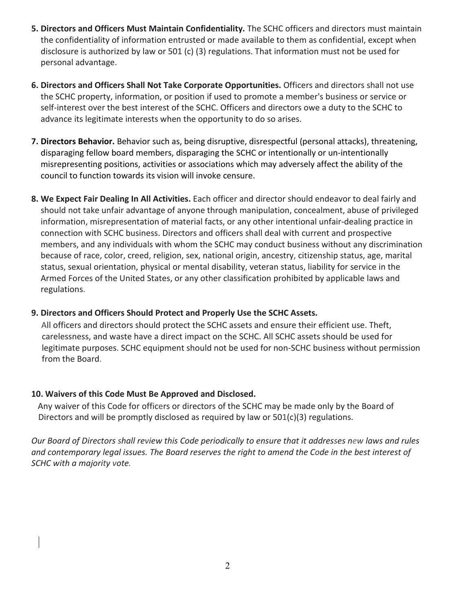- **5. Directors and Officers Must Maintain Confidentiality.** The SCHC officers and directors must maintain the confidentiality of information entrusted or made available to them as confidential, except when disclosure is authorized by law or 501 (c) (3) regulations. That information must not be used for personal advantage.
- **6. Directors and Officers Shall Not Take Corporate Opportunities.** Officers and directors shall not use the SCHC property, information, or position if used to promote a member's business or service or self-interest over the best interest of the SCHC. Officers and directors owe a duty to the SCHC to advance its legitimate interests when the opportunity to do so arises.
- **7. Directors Behavior.** Behavior such as, being disruptive, disrespectful (personal attacks), threatening, disparaging fellow board members, disparaging the SCHC or intentionally or un-intentionally misrepresenting positions, activities or associations which may adversely affect the ability of the council to function towards its vision will invoke censure.
- **8. We Expect Fair Dealing In All Activities.** Each officer and director should endeavor to deal fairly and should not take unfair advantage of anyone through manipulation, concealment, abuse of privileged information, misrepresentation of material facts, or any other intentional unfair-dealing practice in connection with SCHC business. Directors and officers shall deal with current and prospective members, and any individuals with whom the SCHC may conduct business without any discrimination because of race, color, creed, religion, sex, national origin, ancestry, citizenship status, age, marital status, sexual orientation, physical or mental disability, veteran status, liability for service in the Armed Forces of the United States, or any other classification prohibited by applicable laws and regulations.

## **9. Directors and Officers Should Protect and Properly Use the SCHC Assets.**

All officers and directors should protect the SCHC assets and ensure their efficient use. Theft, carelessness, and waste have a direct impact on the SCHC. All SCHC assets should be used for legitimate purposes. SCHC equipment should not be used for non-SCHC business without permission from the Board.

## **10. Waivers of this Code Must Be Approved and Disclosed.**

Any waiver of this Code for officers or directors of the SCHC may be made only by the Board of Directors and will be promptly disclosed as required by law or  $501(c)(3)$  regulations.

*Our Board of Directors shall review this Code periodically to ensure that it addresses new laws and rules and contemporary legal issues. The Board reserves the right to amend the Code in the best interest of SCHC with a majority vote.*